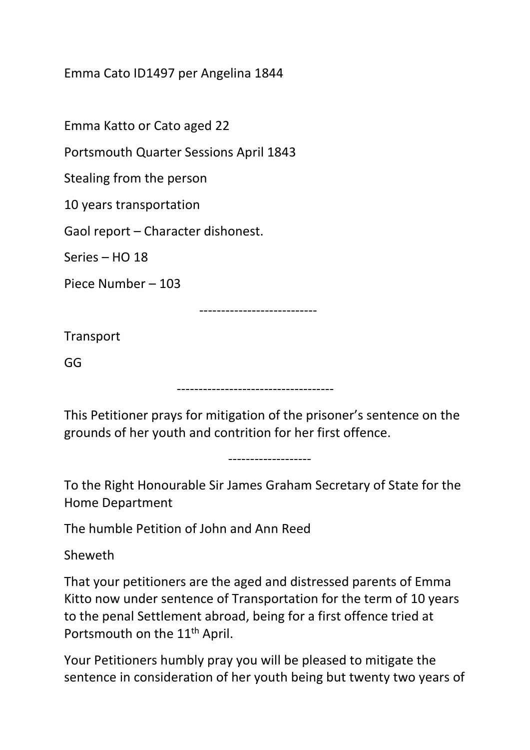Emma Cato ID1497 per Angelina 1844

Emma Katto or Cato aged 22

Portsmouth Quarter Sessions April 1843

Stealing from the person

10 years transportation

Gaol report – Character dishonest.

Series – HO 18

Piece Number – 103

---------------------------

**Transport** 

GG

------------------------------------

This Petitioner prays for mitigation of the prisoner's sentence on the grounds of her youth and contrition for her first offence.

-------------------

To the Right Honourable Sir James Graham Secretary of State for the Home Department

The humble Petition of John and Ann Reed

Sheweth

That your petitioners are the aged and distressed parents of Emma Kitto now under sentence of Transportation for the term of 10 years to the penal Settlement abroad, being for a first offence tried at Portsmouth on the 11<sup>th</sup> April.

Your Petitioners humbly pray you will be pleased to mitigate the sentence in consideration of her youth being but twenty two years of